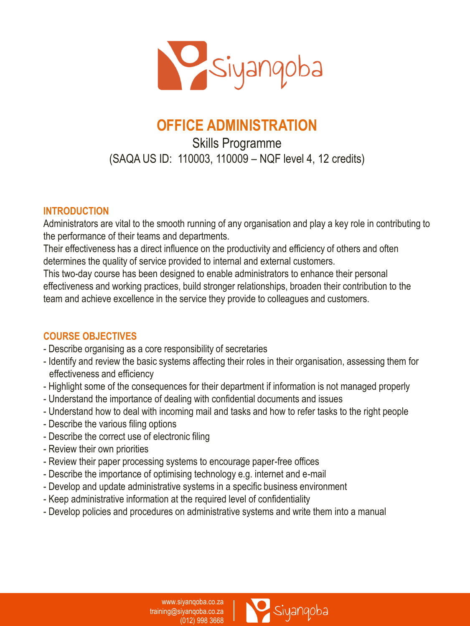

# **OFFICE ADMINISTRATION**

# Skills Programme (SAQA US ID: 110003, 110009 – NQF level 4, 12 credits)

# **INTRODUCTION**

Administrators are vital to the smooth running of any organisation and play a key role in contributing to the performance of their teams and departments.

Their effectiveness has a direct influence on the productivity and efficiency of others and often determines the quality of service provided to internal and external customers.

This two-day course has been designed to enable administrators to enhance their personal effectiveness and working practices, build stronger relationships, broaden their contribution to the team and achieve excellence in the service they provide to colleagues and customers.

# **COURSE OBJECTIVES**

- Describe organising as a core responsibility of secretaries
- Identify and review the basic systems affecting their roles in their organisation, assessing them for effectiveness and efficiency
- Highlight some of the consequences for their department if information is not managed properly
- Understand the importance of dealing with confidential documents and issues
- Understand how to deal with incoming mail and tasks and how to refer tasks to the right people
- Describe the various filing options
- Describe the correct use of electronic filing
- Review their own priorities
- Review their paper processing systems to encourage paper-free offices
- Describe the importance of optimising technology e.g. internet and e-mail
- Develop and update administrative systems in a specific business environment
- Keep administrative information at the required level of confidentiality
- Develop policies and procedures on administrative systems and write them into a manual

www.siyanqoba.co.za training@siyanqoba.co.za (012) 998 3668